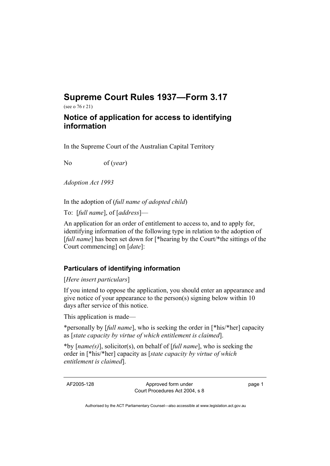## **Supreme Court Rules 1937—Form 3.17**

(see o 76 r 21)

## **Notice of application for access to identifying information**

In the Supreme Court of the Australian Capital Territory

No of (*year*)

*Adoption Act 1993* 

In the adoption of (*full name of adopted child*)

To: [*full name*], of [*address*]—

An application for an order of entitlement to access to, and to apply for, identifying information of the following type in relation to the adoption of [*full name*] has been set down for [\*hearing by the Court/\*the sittings of the Court commencing] on [*date*]:

## **Particulars of identifying information**

[*Here insert particulars*]

If you intend to oppose the application, you should enter an appearance and give notice of your appearance to the person(s) signing below within 10 days after service of this notice.

This application is made—

\*personally by [*full name*], who is seeking the order in [\*his/\*her] capacity as [*state capacity by virtue of which entitlement is claimed*].

\*by [*name(s)*], solicitor(s), on behalf of [*full name*], who is seeking the order in [\*his/\*her] capacity as [*state capacity by virtue of which entitlement is claimed*].

AF2005-128 Approved form under Court Procedures Act 2004, s 8 page 1

Authorised by the ACT Parliamentary Counsel—also accessible at www.legislation.act.gov.au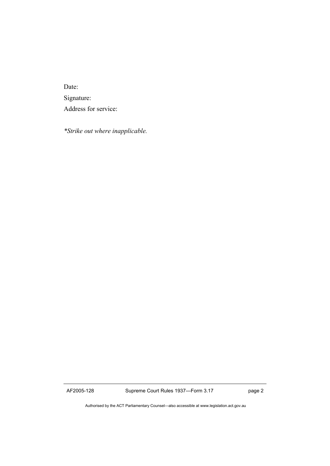Date: Signature: Address for service:

*\*Strike out where inapplicable.* 

AF2005-128 Supreme Court Rules 1937—Form 3.17 page 2

Authorised by the ACT Parliamentary Counsel—also accessible at www.legislation.act.gov.au